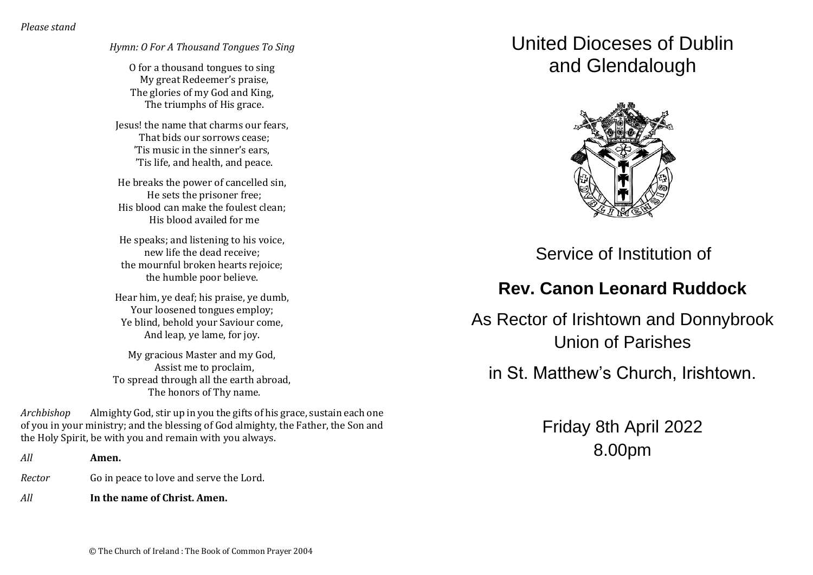*Hymn: O For A Thousand Tongues To Sing*

O for a thousand tongues to sing My great Redeemer's praise, The glories of my God and King, The triumphs of His grace.

Jesus! the name that charms our fears, That bids our sorrows cease; 'Tis music in the sinner's ears, 'Tis life, and health, and peace.

He breaks the power of cancelled sin, He sets the prisoner free; His blood can make the foulest clean; His blood availed for me

He speaks; and listening to his voice, new life the dead receive; the mournful broken hearts rejoice; the humble poor believe.

Hear him, ye deaf; his praise, ye dumb, Your loosened tongues employ; Ye blind, behold your Saviour come, And leap, ye lame, for joy.

My gracious Master and my God, Assist me to proclaim, To spread through all the earth abroad, The honors of Thy name.

*Archbishop* Almighty God, stir up in you the gifts of his grace, sustain each one of you in your ministry; and the blessing of God almighty, the Father, the Son and the Holy Spirit, be with you and remain with you always.

| AII    | Amen.                                   |
|--------|-----------------------------------------|
| Rector | Go in peace to love and serve the Lord. |
| All    | In the name of Christ. Amen.            |

# United Dioceses of Dublin and Glendalough



Service of Institution of

## **Rev. Canon Leonard Ruddock**

As Rector of Irishtown and Donnybrook Union of Parishes

in St. Matthew's Church, Irishtown.

Friday 8th April 2022 8.00pm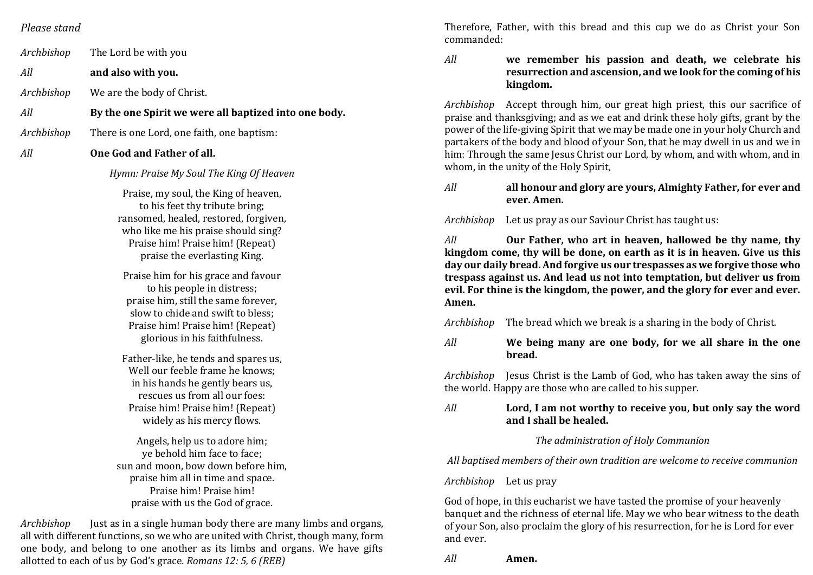#### *Please stand*

| Archbishop | The Lord be with you                                                                                                                                                                                                       |
|------------|----------------------------------------------------------------------------------------------------------------------------------------------------------------------------------------------------------------------------|
| All        | and also with you.                                                                                                                                                                                                         |
| Archbishop | We are the body of Christ.                                                                                                                                                                                                 |
| All        | By the one Spirit we were all baptized into one body.                                                                                                                                                                      |
| Archbishop | There is one Lord, one faith, one baptism:                                                                                                                                                                                 |
| All        | <b>One God and Father of all.</b>                                                                                                                                                                                          |
|            | Hymn: Praise My Soul The King Of Heaven                                                                                                                                                                                    |
|            | Praise, my soul, the King of heaven,<br>to his feet thy tribute bring;<br>ransomed, healed, restored, forgiven,<br>who like me his praise should sing?<br>Praise him! Praise him! (Repeat)<br>praise the everlasting King. |
|            | Praise him for his grace and favour<br>to his people in distress;<br>praise him, still the same forever,<br>slow to chide and swift to bless;<br>Praise him! Praise him! (Repeat)<br>glorious in his faithfulness.         |
|            | Father-like, he tends and spares us,<br>Well our feeble frame he knows;<br>in his hands he gently bears us,<br>rescues us from all our foes:<br>Praise him! Praise him! (Repeat)<br>widely as his mercy flows.             |
|            | Angels, help us to adore him;<br>ye behold him face to face;<br>sun and moon, bow down before him,<br>praise him all in time and space.<br>Praise him! Praise him!<br>praise with us the God of grace.                     |

*Archbishop* Just as in a single human body there are many limbs and organs, all with different functions, so we who are united with Christ, though many, form one body, and belong to one another as its limbs and organs. We have gifts allotted to each of us by God's grace*. Romans 12: 5, 6 (REB)* 

Therefore, Father, with this bread and this cup we do as Christ your Son commanded:

*All* **we remember his passion and death, we celebrate his resurrection and ascension, and we look for the coming of his kingdom.**

*Archbishop* Accept through him, our great high priest, this our sacrifice of praise and thanksgiving; and as we eat and drink these holy gifts, grant by the power of the life-giving Spirit that we may be made one in your holy Church and partakers of the body and blood of your Son, that he may dwell in us and we in him: Through the same Jesus Christ our Lord, by whom, and with whom, and in whom, in the unity of the Holy Spirit,

## *All* **all honour and glory are yours, Almighty Father, for ever and ever. Amen.**

*Archbishop* Let us pray as our Saviour Christ has taught us:

*All* **Our Father, who art in heaven, hallowed be thy name, thy kingdom come, thy will be done, on earth as it is in heaven. Give us this day our daily bread. And forgive us our trespasses as we forgive those who trespass against us. And lead us not into temptation, but deliver us from evil. For thine is the kingdom, the power, and the glory for ever and ever. Amen.**

*Archbishop* The bread which we break is a sharing in the body of Christ.

*All* **We being many are one body, for we all share in the one bread.**

*Archbishop* Jesus Christ is the Lamb of God, who has taken away the sins of the world. Happy are those who are called to his supper.

## *All* **Lord, I am not worthy to receive you, but only say the word and I shall be healed.**

## *The administration of Holy Communion*

*All baptised members of their own tradition are welcome to receive communion*

## *Archbishop* Let us pray

God of hope, in this eucharist we have tasted the promise of your heavenly banquet and the richness of eternal life. May we who bear witness to the death of your Son, also proclaim the glory of his resurrection, for he is Lord for ever and ever.

## *All* **Amen.**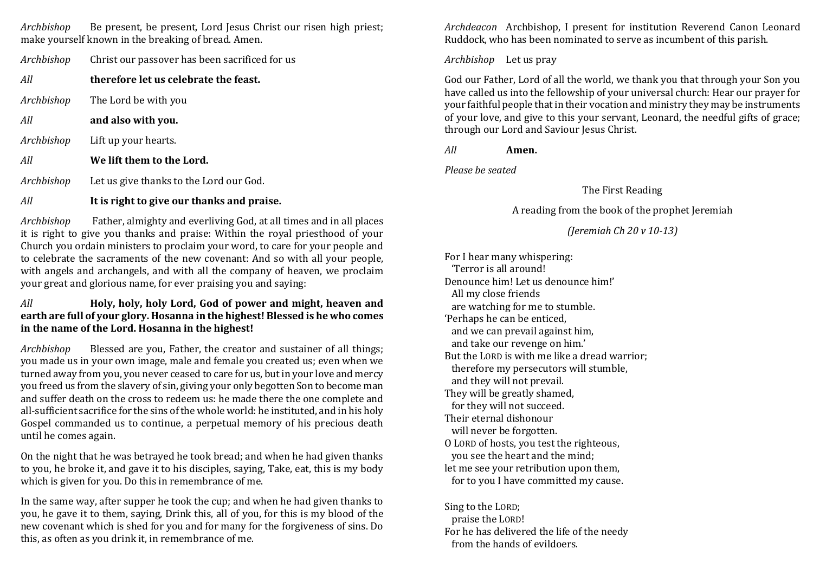*Archbishop* Be present, be present, Lord Jesus Christ our risen high priest; make yourself known in the breaking of bread. Amen.

| Archbishop | Christ our passover has been sacrificed for us |
|------------|------------------------------------------------|
| All        | therefore let us celebrate the feast.          |
| Archbishop | The Lord be with you                           |
| All        | and also with you.                             |
| Archbishop | Lift up your hearts.                           |
| All        | We lift them to the Lord.                      |
| Archbishop | Let us give thanks to the Lord our God.        |
| All        | It is right to give our thanks and praise.     |

*Archbishop* Father, almighty and everliving God, at all times and in all places it is right to give you thanks and praise: Within the royal priesthood of your Church you ordain ministers to proclaim your word, to care for your people and to celebrate the sacraments of the new covenant: And so with all your people, with angels and archangels, and with all the company of heaven, we proclaim your great and glorious name, for ever praising you and saying:

#### *All* **Holy, holy, holy Lord, God of power and might, heaven and earth are full of your glory. Hosanna in the highest! Blessed is he who comes in the name of the Lord. Hosanna in the highest!**

*Archbishop* Blessed are you, Father, the creator and sustainer of all things; you made us in your own image, male and female you created us; even when we turned away from you, you never ceased to care for us, but in your love and mercy you freed us from the slavery of sin, giving your only begotten Son to become man and suffer death on the cross to redeem us: he made there the one complete and all-sufficient sacrifice for the sins of the whole world: he instituted, and in his holy Gospel commanded us to continue, a perpetual memory of his precious death until he comes again.

On the night that he was betrayed he took bread; and when he had given thanks to you, he broke it, and gave it to his disciples, saying, Take, eat, this is my body which is given for you. Do this in remembrance of me.

In the same way, after supper he took the cup; and when he had given thanks to you, he gave it to them, saying, Drink this, all of you, for this is my blood of the new covenant which is shed for you and for many for the forgiveness of sins. Do this, as often as you drink it, in remembrance of me.

*Archdeacon* Archbishop, I present for institution Reverend Canon Leonard Ruddock, who has been nominated to serve as incumbent of this parish.

*Archbishop* Let us pray

God our Father, Lord of all the world, we thank you that through your Son you have called us into the fellowship of your universal church: Hear our prayer for your faithful people that in their vocation and ministry they may be instruments of your love, and give to this your servant, Leonard, the needful gifts of grace; through our Lord and Saviour Jesus Christ.

#### *All* **Amen.**

*Please be seated*

#### The First Reading

A reading from the book of the prophet Jeremiah

#### *(Jeremiah Ch 20 v 10-13)*

For I hear many whispering: 'Terror is all around! Denounce him! Let us denounce him!' All my close friends are watching for me to stumble. 'Perhaps he can be enticed, and we can prevail against him, and take our revenge on him.' But the LORD is with me like a dread warrior; therefore my persecutors will stumble, and they will not prevail. They will be greatly shamed, for they will not succeed. Their eternal dishonour will never be forgotten. O LORD of hosts, you test the righteous, you see the heart and the mind; let me see your retribution upon them, for to you I have committed my cause.

Sing to the LORD; praise the LORD! For he has delivered the life of the needy from the hands of evildoers.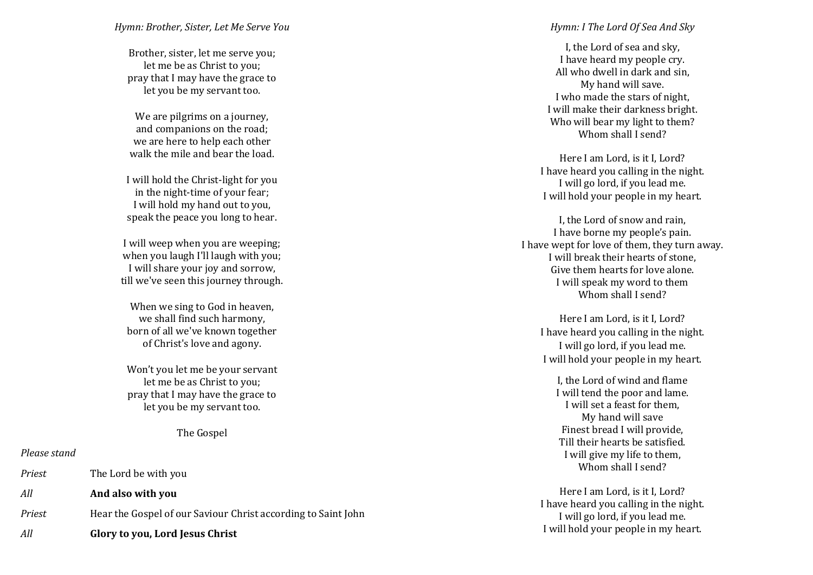#### *Hymn: Brother, Sister, Let Me Serve You*

Brother, sister, let me serve you; let me be as Christ to you; pray that I may have the grace to let you be my servant too.

We are pilgrims on a journey, and companions on the road; we are here to help each other walk the mile and bear the load.

I will hold the Christ -light for you in the night -time of your fear; I will hold my hand out to you, speak the peace you long to hear.

I will weep when you are weeping; when you laugh I'll laugh with you; I will share your joy and sorrow, till we've seen this journey through.

When we sing to God in heaven, we shall find such harmony, born of all we've known together of Christ's love and agony.

Won't you let me be your servant let me be as Christ to you; pray that I may have the grace to let you be my servant too.

#### The Gospel

#### *Please stand*

| Priest | The Lord be with you                                          |
|--------|---------------------------------------------------------------|
| All    | And also with you                                             |
| Priest | Hear the Gospel of our Saviour Christ according to Saint John |
| All    | Glory to you, Lord Jesus Christ                               |

#### *Hymn: I The Lord Of Sea And Sky*

I, the Lord of sea and sky, I have heard my people cry. All who dwell in dark and sin, My hand will save. I who made the stars of night, I will make their darkness bright. Who will bear my light to them? Whom shall I send?

Here I am Lord, is it I, Lord? I have heard you calling in the night. I will go lord, if you lead me. I will hold your people in my heart.

I, the Lord of snow and rain, I have borne my people's pain. I have wept for love of them, they turn away. I will break their hearts of stone, Give them hearts for love alone. I will speak my word to them Whom shall I send?

Here I am Lord, is it I, Lord? I have heard you calling in the night. I will go lord, if you lead me. I will hold your people in my heart.

> I, the Lord of wind and flame I will tend the poor and lame. I will set a feast for them, My hand will save Finest bread I will provide, Till their hearts be satisfied. I will give my life to them, Whom shall I send?

Here I am Lord, is it I, Lord? I have heard you calling in the night. I will go lord, if you lead me. I will hold your people in my heart.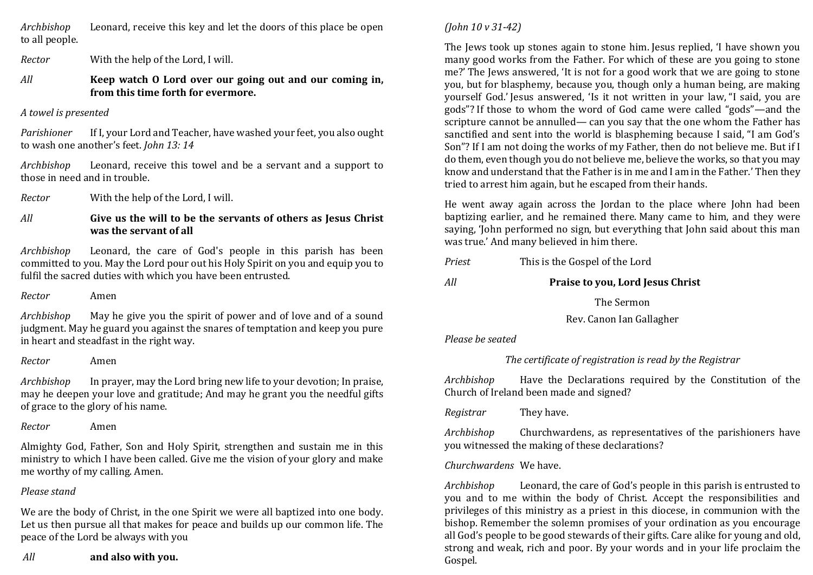*Archbishop* Leonard, receive this key and let the doors of this place be open to all people.

*Rector* With the help of the Lord, I will.

## *All* **Keep watch O Lord over our going out and our coming in, from this time forth for evermore.**

### *A towel is presented*

*Parishioner* If I, your Lord and Teacher, have washed your feet, you also ought to wash one another's feet. *John 13: 14*

*Archbishop* Leonard, receive this towel and be a servant and a support to those in need and in trouble.

*Rector* With the help of the Lord, I will.

## *All* **Give us the will to be the servants of others as Jesus Christ was the servant of all**

*Archbishop* Leonard, the care of God's people in this parish has been committed to you. May the Lord pour out his Holy Spirit on you and equip you to fulfil the sacred duties with which you have been entrusted.

#### *Rector* Amen

*Archbishop* May he give you the spirit of power and of love and of a sound judgment. May he guard you against the snares of temptation and keep you pure in heart and steadfast in the right way.

*Rector* Amen

*Archbishop* In prayer, may the Lord bring new life to your devotion; In praise, may he deepen your love and gratitude; And may he grant you the needful gifts of grace to the glory of his name.

*Rector* Amen

Almighty God, Father, Son and Holy Spirit, strengthen and sustain me in this ministry to which I have been called. Give me the vision of your glory and make me worthy of my calling. Amen.

## *Please stand*

We are the body of Christ, in the one Spirit we were all baptized into one body. Let us then pursue all that makes for peace and builds up our common life. The peace of the Lord be always with you

*All* **and also with you.**

*(John 10 v 31-42)*

The Jews took up stones again to stone him. Jesus replied, 'I have shown you many good works from the Father. For which of these are you going to stone me?' The Jews answered, 'It is not for a good work that we are going to stone you, but for blasphemy, because you, though only a human being, are making yourself God.' Jesus answered, 'Is it not written in your law, "I said, you are gods"? If those to whom the word of God came were called "gods"—and the scripture cannot be annulled— can you say that the one whom the Father has sanctified and sent into the world is blaspheming because I said, "I am God's Son"? If I am not doing the works of my Father, then do not believe me. But if I do them, even though you do not believe me, believe the works, so that you may know and understand that the Father is in me and I am in the Father.' Then they tried to arrest him again, but he escaped from their hands.

He went away again across the Jordan to the place where John had been baptizing earlier, and he remained there. Many came to him, and they were saying, 'John performed no sign, but everything that John said about this man was true.' And many believed in him there.

| Priest | This is the Gospel of the Lord |  |
|--------|--------------------------------|--|
|        |                                |  |

## *All* **Praise to you, Lord Jesus Christ**

The Sermon

Rev. Canon Ian Gallagher

*Please be seated*

## *The certificate of registration is read by the Registrar*

*Archbishop* Have the Declarations required by the Constitution of the Church of Ireland been made and signed?

*Registrar* They have.

*Archbishop* Churchwardens, as representatives of the parishioners have you witnessed the making of these declarations?

*Churchwardens* We have.

*Archbishop* Leonard, the care of God's people in this parish is entrusted to you and to me within the body of Christ. Accept the responsibilities and privileges of this ministry as a priest in this diocese, in communion with the bishop. Remember the solemn promises of your ordination as you encourage all God's people to be good stewards of their gifts. Care alike for young and old, strong and weak, rich and poor. By your words and in your life proclaim the Gospel.